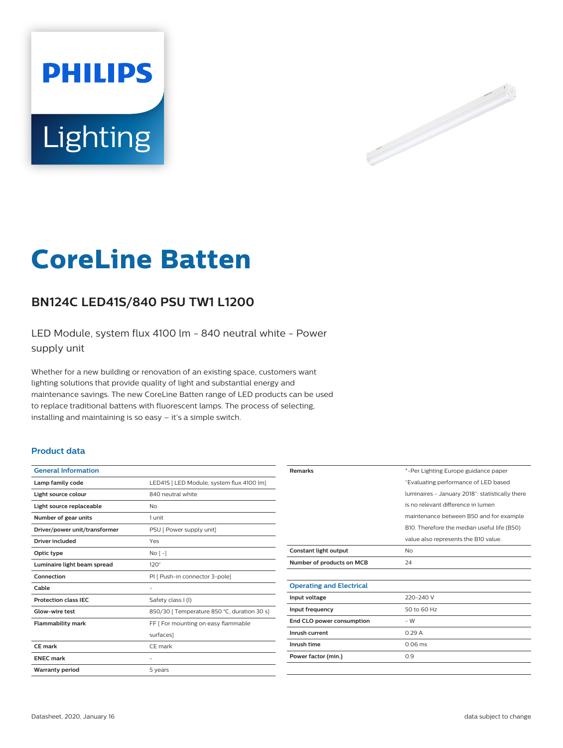



# **CoreLine Batten**

## **BN124C LED41S/840 PSU TW1 L1200**

LED Module, system flux 4100 lm - 840 neutral white - Power supply unit

Whether for a new building or renovation of an existing space, customers want lighting solutions that provide quality of light and substantial energy and maintenance savings. The new CoreLine Batten range of LED products can be used to replace traditional battens with fluorescent lamps. The process of selecting, installing and maintaining is so easy – it's a simple switch.

#### **Product data**

| <b>General Information</b>    |                                             |
|-------------------------------|---------------------------------------------|
| Lamp family code              | LED41S   LED Module, system flux 4100 lm]   |
| Light source colour           | 840 neutral white                           |
| Light source replaceable      | N <sub>o</sub>                              |
| Number of gear units          | 1 unit                                      |
| Driver/power unit/transformer | PSU [ Power supply unit]                    |
| <b>Driver included</b>        | Yes                                         |
| Optic type                    | No <sub>1</sub>                             |
| Luminaire light beam spread   | $120^\circ$                                 |
| Connection                    | PI [ Push-in connector 3-pole]              |
| Cable                         |                                             |
| <b>Protection class IEC</b>   | Safety class I (I)                          |
| Glow-wire test                | 850/30   Temperature 850 °C, duration 30 s] |
| <b>Flammability mark</b>      | FF   For mounting on easy flammable         |
|                               | surfaces                                    |
| CE mark                       | CE mark                                     |
| <b>ENEC mark</b>              | ۰                                           |
| <b>Warranty period</b>        | 5 years                                     |
|                               |                                             |

| <b>Remarks</b>                  | *-Per Lighting Europe guidance paper            |
|---------------------------------|-------------------------------------------------|
|                                 | "Evaluating performance of LED based            |
|                                 | luminaires - January 2018": statistically there |
|                                 | is no relevant difference in lumen              |
|                                 | maintenance between B50 and for example         |
|                                 | B10. Therefore the median useful life (B50)     |
|                                 | value also represents the B10 value.            |
| Constant light output           | N <sub>o</sub>                                  |
| Number of products on MCB       | 24                                              |
|                                 |                                                 |
| <b>Operating and Electrical</b> |                                                 |
| Input voltage                   | 220-240 V                                       |
| Input frequency                 | 50 to 60 Hz                                     |
| End CLO power consumption       | $-W$                                            |
| Inrush current                  | 0.29A                                           |
| Inrush time                     | $0.06$ ms                                       |
| Power factor (min.)             | 0.9                                             |
|                                 |                                                 |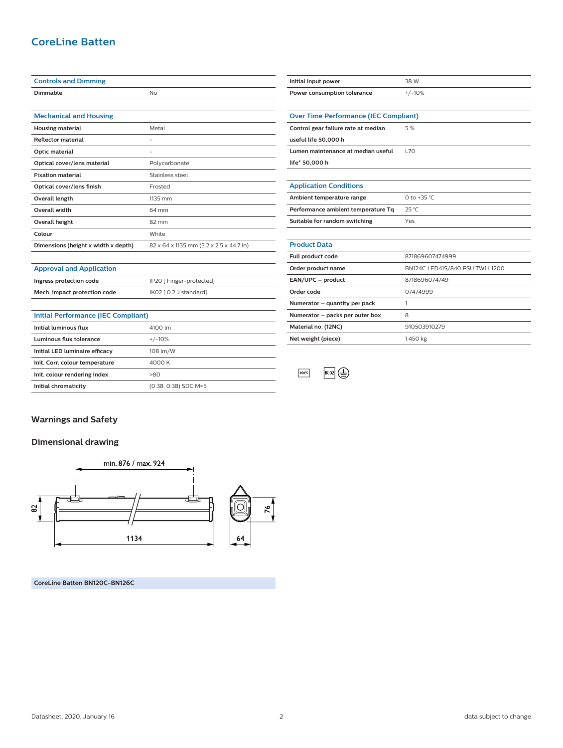## **CoreLine Batten**

| <b>Controls and Dimming</b>         |                                         | Initial input power                          | 38 W                  |
|-------------------------------------|-----------------------------------------|----------------------------------------------|-----------------------|
| Dimmable                            | N <sub>o</sub>                          | Power consumption tolerance                  | $+/-10%$              |
|                                     |                                         |                                              |                       |
| <b>Mechanical and Housing</b>       |                                         | <b>Over Time Performance (IEC Compliant)</b> |                       |
| <b>Housing material</b>             | Metal                                   | Control gear failure rate at median          | 5 %                   |
| <b>Reflector material</b>           | ٠                                       | useful life 50,000 h                         |                       |
| Optic material                      | -                                       | Lumen maintenance at median useful           | <b>L70</b>            |
| Optical cover/lens material         | Polycarbonate                           | life* 50,000 h                               |                       |
| <b>Fixation material</b>            | Stainless steel                         |                                              |                       |
| Optical cover/lens finish           | Frosted                                 | <b>Application Conditions</b>                |                       |
| Overall length                      | 1135 mm                                 | Ambient temperature range                    | 0 to +35 $^{\circ}$ C |
| Overall width                       | 64 mm                                   | Performance ambient temperature Tq           | $25^{\circ}$ C        |
| Overall height                      | 82 mm                                   | Suitable for random switching                | Yes                   |
| Colour                              | White                                   |                                              |                       |
| Dimensions (height x width x depth) | 82 x 64 x 1135 mm (3.2 x 2.5 x 44.7 in) | <b>Product Data</b>                          |                       |
|                                     |                                         | Full product code                            | 871869607474999       |
| <b>Approval and Application</b>     |                                         | Order product name                           | BN124C LED41S/840 PS  |
| Ingress protection code             | IP20 [ Finger-protected]                | EAN/UPC - product                            | 8718696074749         |
| Mech. impact protection code        | IK02 [ 0.2 J standard]                  | Order code                                   | 07474999              |
|                                     |                                         |                                              |                       |

| Initial Performance (IEC Compliant) |                      |  |
|-------------------------------------|----------------------|--|
| Initial luminous flux               | 4100 lm              |  |
| Luminous flux tolerance             | $+/-10%$             |  |
| Initial LED luminaire efficacy      | 108 lm/W             |  |
| Init. Corr. colour temperature      | 4000 K               |  |
| Init. colour rendering index        | >80                  |  |
| Initial chromaticity                | (0.38, 0.38) SDC M<5 |  |

| Ambient temperature range          | 0 to +35 °C.                    |  |
|------------------------------------|---------------------------------|--|
| Performance ambient temperature Tq | $25^{\circ}$ C                  |  |
| Suitable for random switching      | Yes                             |  |
|                                    |                                 |  |
| <b>Product Data</b>                |                                 |  |
| Full product code                  | 871869607474999                 |  |
| Order product name                 | BN124C LED41S/840 PSU TW1 L1200 |  |
| EAN/UPC - product                  | 8718696074749                   |  |
| Order code                         | 07474999                        |  |
| Numerator – quantity per pack      |                                 |  |
| Numerator – packs per outer box    | 8                               |  |
| Material no. (12NC)                | 910503910279                    |  |
| Net weight (piece)                 | 1.450 kg                        |  |

 $850^{\circ}$ C  $\overline{K}$  O2  $\overline{\bigoplus}$ 

**Warnings and Safety**

**Dimensional drawing**



**CoreLine Batten BN120C-BN126C**